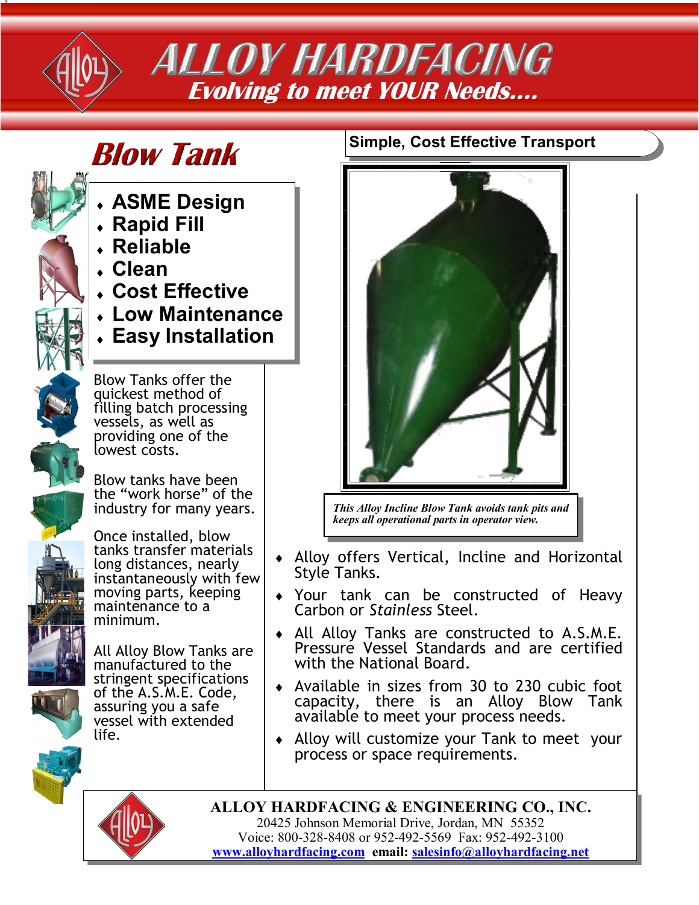

## **ALLOY HARDFACING Evolving to meet YOUR Needs….**

# **Blow Tank**

- **ASME Design**
- **Rapid Fill**
- **Reliable**
- **Clean**
- **Cost Effective**
- **Low Maintenance**
- **Easy Installation**



Blow Tanks offer the quickest method of filling batch processing vessels, as well as providing one of the lowest costs.

Blow tanks have been the "work horse" of the industry for many years.



Once installed, blow tanks transfer materials long distances, nearly instantaneously with few moving parts, keeping maintenance to a minimum.

All Alloy Blow Tanks are manufactured to the stringent specifications of the A.S.M.E. Code, assuring you a safe vessel with extended life.

### **Simple, Cost Effective Transport**



*This Alloy Incline Blow Tank avoids tank pits and keeps all operational parts in operator view.*

- Alloy offers Vertical, Incline and Horizontal Style Tanks.
- Your tank can be constructed of Heavy Carbon or *Stainless* Steel.
- All Alloy Tanks are constructed to A.S.M.E. Pressure Vessel Standards and are certified with the National Board.
- Available in sizes from 30 to 230 cubic foot capacity, there is an Alloy Blow Tank available to meet your process needs.
- Alloy will customize your Tank to meet your process or space requirements.

**ALLOY HARDFACING & ENGINEERING CO., INC.** 20425 Johnson Memorial Drive, Jordan, MN 55352 Voice: 800-328-8408 or 952-492-5569 Fax: 952-492-3100 **[www.alloyhardfacing.com](HTTPS://www.alloyhardfacing.com) email: [salesinfo@alloyhardfacing.net](mailto:salesinfo@alloyhardfacing.net)**